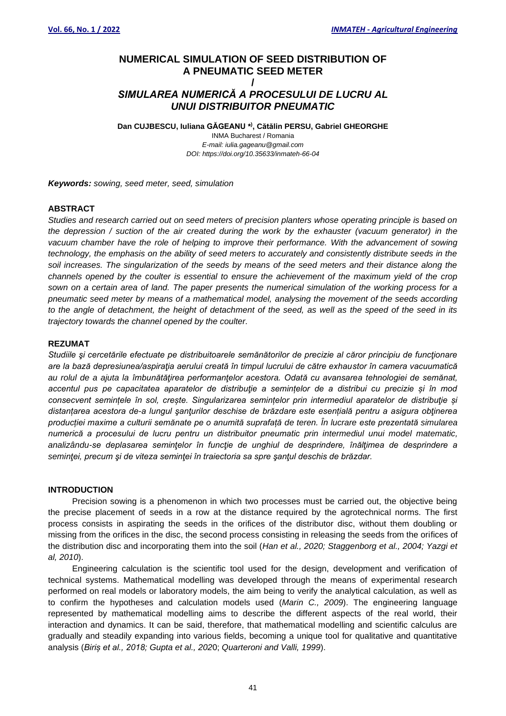# **NUMERICAL SIMULATION OF SEED DISTRIBUTION OF A PNEUMATIC SEED METER**

## **/** *SIMULAREA NUMERICĂ A PROCESULUI DE LUCRU AL UNUI DISTRIBUITOR PNEUMATIC*

**Dan CUJBESCU, Iuliana GĂGEANU \* ) , Cătălin PERSU, Gabriel GHEORGHE**

INMA Bucharest / Romania *E-mail: iulia.gageanu@gmail.com DOI: https://doi.org/10.35633/inmateh-66-04*

*Keywords: sowing, seed meter, seed, simulation*

### **ABSTRACT**

*Studies and research carried out on seed meters of precision planters whose operating principle is based on the depression / suction of the air created during the work by the exhauster (vacuum generator) in the vacuum chamber have the role of helping to improve their performance. With the advancement of sowing technology, the emphasis on the ability of seed meters to accurately and consistently distribute seeds in the soil increases. The singularization of the seeds by means of the seed meters and their distance along the channels opened by the coulter is essential to ensure the achievement of the maximum yield of the crop sown on a certain area of land. The paper presents the numerical simulation of the working process for a pneumatic seed meter by means of a mathematical model, analysing the movement of the seeds according to the angle of detachment, the height of detachment of the seed, as well as the speed of the seed in its trajectory towards the channel opened by the coulter.*

#### **REZUMAT**

*Studiile şi cercetările efectuate pe distribuitoarele semănătorilor de precizie al căror principiu de funcţionare are la bază depresiunea/aspiraţia aerului creată în timpul lucrului de către exhaustor în camera vacuumatică au rolul de a ajuta la îmbunătăţirea performanţelor acestora. Odată cu avansarea tehnologiei de semănat,*  accentul pus pe capacitatea aparatelor de distribuție a semintelor de a distribui cu precizie și în mod *consecvent semințele în sol, crește. Singularizarea semințelor prin intermediul aparatelor de distribuţie și distanțarea acestora de-a lungul şanţurilor deschise de brăzdare este esențială pentru a asigura obţinerea producției maxime a culturii semănate pe o anumită suprafață de teren. În lucrare este prezentată simularea numerică a procesului de lucru pentru un distribuitor pneumatic prin intermediul unui model matematic, analizându-se deplasarea seminţelor în funcţie de unghiul de desprindere, înălţimea de desprindere a seminţei, precum şi de viteza seminţei în traiectoria sa spre şanţul deschis de brăzdar.*

## **INTRODUCTION**

Precision sowing is a phenomenon in which two processes must be carried out, the objective being the precise placement of seeds in a row at the distance required by the agrotechnical norms. The first process consists in aspirating the seeds in the orifices of the distributor disc, without them doubling or missing from the orifices in the disc, the second process consisting in releasing the seeds from the orifices of the distribution disc and incorporating them into the soil (*Han et al., 2020; Staggenborg et al., 2004; Yazgi et al, 2010*).

Engineering calculation is the scientific tool used for the design, development and verification of technical systems. Mathematical modelling was developed through the means of experimental research performed on real models or laboratory models, the aim being to verify the analytical calculation, as well as to confirm the hypotheses and calculation models used (*Marin C., 2009*). The engineering language represented by mathematical modelling aims to describe the different aspects of the real world, their interaction and dynamics. It can be said, therefore, that mathematical modelling and scientific calculus are gradually and steadily expanding into various fields, becoming a unique tool for qualitative and quantitative analysis (*Biriș et al., 2018; Gupta et al., 202*0; *Quarteroni and Valli, 1999*).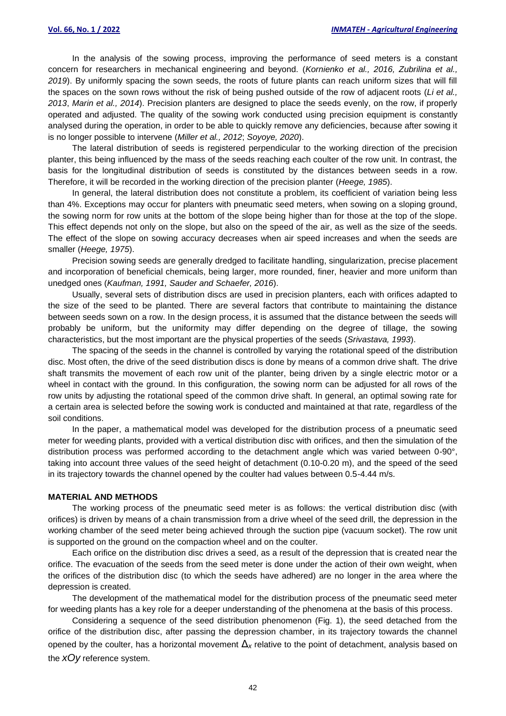In the analysis of the sowing process, improving the performance of seed meters is a constant concern for researchers in mechanical engineering and beyond. (*Kornienko et al., 2016, Zubrilina et al., 2019*). By uniformly spacing the sown seeds, the roots of future plants can reach uniform sizes that will fill the spaces on the sown rows without the risk of being pushed outside of the row of adjacent roots (*Li et al., 2013*, *Marin et al., 2014*). Precision planters are designed to place the seeds evenly, on the row, if properly operated and adjusted. The quality of the sowing work conducted using precision equipment is constantly analysed during the operation, in order to be able to quickly remove any deficiencies, because after sowing it is no longer possible to intervene (*Miller et al., 2012*; *Soyoye, 2020*).

The lateral distribution of seeds is registered perpendicular to the working direction of the precision planter, this being influenced by the mass of the seeds reaching each coulter of the row unit. In contrast, the basis for the longitudinal distribution of seeds is constituted by the distances between seeds in a row. Therefore, it will be recorded in the working direction of the precision planter (*Heege, 1985*).

In general, the lateral distribution does not constitute a problem, its coefficient of variation being less than 4%. Exceptions may occur for planters with pneumatic seed meters, when sowing on a sloping ground, the sowing norm for row units at the bottom of the slope being higher than for those at the top of the slope. This effect depends not only on the slope, but also on the speed of the air, as well as the size of the seeds. The effect of the slope on sowing accuracy decreases when air speed increases and when the seeds are smaller (*Heege, 1975*).

Precision sowing seeds are generally dredged to facilitate handling, singularization, precise placement and incorporation of beneficial chemicals, being larger, more rounded, finer, heavier and more uniform than unedged ones (*Kaufman, 1991, Sauder and Schaefer, 2016*).

Usually, several sets of distribution discs are used in precision planters, each with orifices adapted to the size of the seed to be planted. There are several factors that contribute to maintaining the distance between seeds sown on a row. In the design process, it is assumed that the distance between the seeds will probably be uniform, but the uniformity may differ depending on the degree of tillage, the sowing characteristics, but the most important are the physical properties of the seeds (*Srivastava, 1993*).

The spacing of the seeds in the channel is controlled by varying the rotational speed of the distribution disc. Most often, the drive of the seed distribution discs is done by means of a common drive shaft. The drive shaft transmits the movement of each row unit of the planter, being driven by a single electric motor or a wheel in contact with the ground. In this configuration, the sowing norm can be adjusted for all rows of the row units by adjusting the rotational speed of the common drive shaft. In general, an optimal sowing rate for a certain area is selected before the sowing work is conducted and maintained at that rate, regardless of the soil conditions.

In the paper, a mathematical model was developed for the distribution process of a pneumatic seed meter for weeding plants, provided with a vertical distribution disc with orifices, and then the simulation of the distribution process was performed according to the detachment angle which was varied between 0-90°, taking into account three values of the seed height of detachment (0.10-0.20 m), and the speed of the seed in its trajectory towards the channel opened by the coulter had values between 0.5-4.44 m/s.

#### **MATERIAL AND METHODS**

The working process of the pneumatic seed meter is as follows: the vertical distribution disc (with orifices) is driven by means of a chain transmission from a drive wheel of the seed drill, the depression in the working chamber of the seed meter being achieved through the suction pipe (vacuum socket). The row unit is supported on the ground on the compaction wheel and on the coulter.

Each orifice on the distribution disc drives a seed, as a result of the depression that is created near the orifice. The evacuation of the seeds from the seed meter is done under the action of their own weight, when the orifices of the distribution disc (to which the seeds have adhered) are no longer in the area where the depression is created.

The development of the mathematical model for the distribution process of the pneumatic seed meter for weeding plants has a key role for a deeper understanding of the phenomena at the basis of this process.

Considering a sequence of the seed distribution phenomenon (Fig. 1), the seed detached from the orifice of the distribution disc, after passing the depression chamber, in its trajectory towards the channel opened by the coulter, has a horizontal movement Δ*<sup>x</sup>* relative to the point of detachment, analysis based on the *xOy* reference system.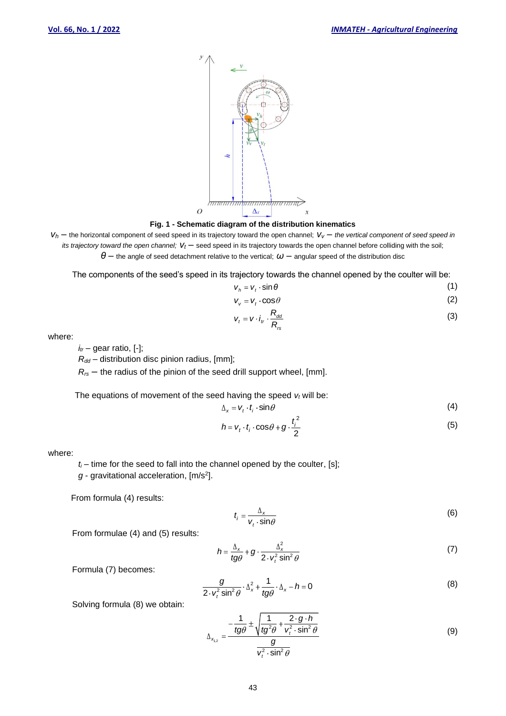

### **Fig. 1 - Schematic diagram of the distribution kinematics**

 $V_h$  – the horizontal component of seed speed in its trajectory toward the open channel;  $V_V$  – the vertical component of seed speed in *its trajectory toward the open channel;*  $V_t$  – seed speed in its trajectory towards the open channel before colliding with the soil; *θ* – the angle of seed detachment relative to the vertical; *ω* – angular speed of the distribution disc

The components of the seed's speed in its trajectory towards the channel opened by the coulter will be:

$$
V_h = V_t \cdot \sin \theta \tag{1}
$$

$$
V_v = V_t \cdot \cos \theta \tag{2}
$$

$$
V_t = V \cdot i_t \cdot \frac{R_{dd}}{R_{rs}}
$$
 (3)

where:

 $i<sub>t</sub>$  – gear ratio,  $[-]$ ;

*Rdd –* distribution disc pinion radius, [mm];

*Rrs –* the radius of the pinion of the seed drill support wheel, [mm].

The equations of movement of the seed having the speed *v<sup>t</sup>* will be:

$$
\Delta_{x} = V_{t} \cdot t_{i} \cdot \sin \theta \tag{4}
$$

$$
h = v_t \cdot t_i \cdot \cos \theta + g \cdot \frac{t_i^2}{2}
$$
 (5)

where:

 $t_i$  – time for the seed to fall into the channel opened by the coulter, [s];

g - gravitational acceleration, [m/s<sup>2</sup>].

From formula (4) results:

$$
t_i = \frac{\Delta_x}{v_t \cdot \sin \theta} \tag{6}
$$

From formulae (4) and (5) results:

$$
h = \frac{\Delta_x}{t g \theta} + g \cdot \frac{\Delta_x^2}{2 \cdot v_t^2 \sin^2 \theta} \tag{7}
$$

Formula (7) becomes:

$$
\frac{g}{2 \cdot v_t^2 \sin^2 \theta} \cdot \Delta_x^2 + \frac{1}{t g \theta} \cdot \Delta_x - h = 0
$$
 (8)

Solving formula (8) we obtain:

$$
\Delta_{x_{1,2}} = \frac{-\frac{1}{tg\theta} \pm \sqrt{\frac{1}{tg^2\theta} + \frac{2 \cdot g \cdot h}{v_t^2 \cdot \sin^2 \theta}}}{\frac{g}{v_t^2 \cdot \sin^2 \theta}}
$$
(9)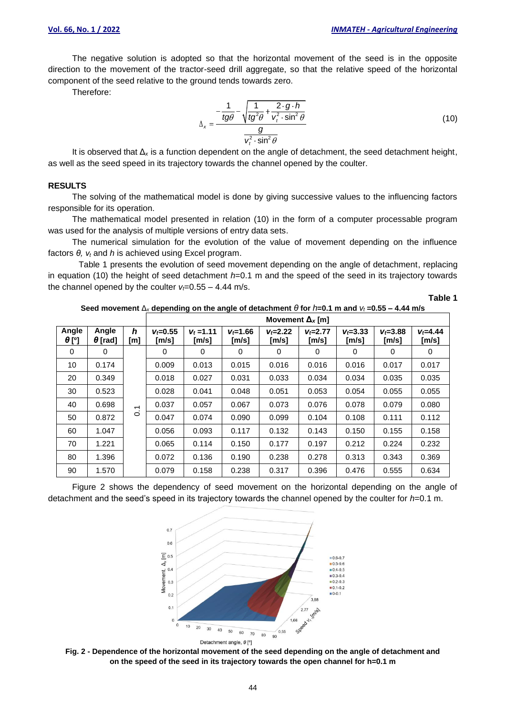The negative solution is adopted so that the horizontal movement of the seed is in the opposite direction to the movement of the tractor-seed drill aggregate, so that the relative speed of the horizontal component of the seed relative to the ground tends towards zero.

Therefore:

$$
\Delta_x = \frac{-\frac{1}{tg\theta} - \sqrt{\frac{1}{tg^2\theta} + \frac{2 \cdot g \cdot h}{v_t^2 \cdot \sin^2\theta}}}{\frac{g}{v_t^2 \cdot \sin^2\theta}}
$$
(10)

It is observed that  $\Delta_{x}$  is a function dependent on the angle of detachment, the seed detachment height, as well as the seed speed in its trajectory towards the channel opened by the coulter.

### **RESULTS**

The solving of the mathematical model is done by giving successive values to the influencing factors responsible for its operation.

The mathematical model presented in relation (10) in the form of a computer processable program was used for the analysis of multiple versions of entry data sets.

The numerical simulation for the evolution of the value of movement depending on the influence factors *θ, v<sup>t</sup>* and *h* is achieved using Excel program.

Table 1 presents the evolution of seed movement depending on the angle of detachment, replacing in equation (10) the height of seed detachment *h*=0.1 m and the speed of the seed in its trajectory towards the channel opened by the coulter  $v_f = 0.55 - 4.44$  m/s.

**Table 1**

**Seed movement** Δ*<sup>x</sup>* **depending on the angle of detachment** *θ* **for** *h***=0.1 m and** *v<sup>t</sup>* **=0.55 – 4.44 m/s**

|                       |                         |                | Movement $\Delta_{x}$ [m] |                       |                       |                                 |                       |                                     |                       |                                  |
|-----------------------|-------------------------|----------------|---------------------------|-----------------------|-----------------------|---------------------------------|-----------------------|-------------------------------------|-----------------------|----------------------------------|
| Angle<br>$\theta$ [°] | Angle<br>$\theta$ [rad] | h<br>[m]       | $V_f = 0.55$<br>[m/s]     | $V_t = 1.11$<br>[m/s] | $V_f = 1.66$<br>[m/s] | $V_f = 2.22$<br>$\mathsf{Im/s}$ | $V_f = 2.77$<br>[m/s] | $V_f = 3.33$<br>$\lceil m/s \rceil$ | $V_f = 3.88$<br>[m/s] | $V_f = 4.44$<br>$\mathsf{[m/s]}$ |
| 0                     | 0                       |                | 0                         | 0                     | 0                     | 0                               | 0                     | 0                                   | 0                     | 0                                |
| 10                    | 0.174                   |                | 0.009                     | 0.013                 | 0.015                 | 0.016                           | 0.016                 | 0.016                               | 0.017                 | 0.017                            |
| 20                    | 0.349                   | $\overline{ }$ | 0.018                     | 0.027                 | 0.031                 | 0.033                           | 0.034                 | 0.034                               | 0.035                 | 0.035                            |
| 30                    | 0.523                   |                | 0.028                     | 0.041                 | 0.048                 | 0.051                           | 0.053                 | 0.054                               | 0.055                 | 0.055                            |
| 40                    | 0.698                   |                | 0.037                     | 0.057                 | 0.067                 | 0.073                           | 0.076                 | 0.078                               | 0.079                 | 0.080                            |
| 50                    | 0.872                   | 0.             | 0.047                     | 0.074                 | 0.090                 | 0.099                           | 0.104                 | 0.108                               | 0.111                 | 0.112                            |
| 60                    | 1.047                   |                | 0.056                     | 0.093                 | 0.117                 | 0.132                           | 0.143                 | 0.150                               | 0.155                 | 0.158                            |
| 70                    | 1.221                   |                | 0.065                     | 0.114                 | 0.150                 | 0.177                           | 0.197                 | 0.212                               | 0.224                 | 0.232                            |
| 80                    | 1.396                   |                | 0.072                     | 0.136                 | 0.190                 | 0.238                           | 0.278                 | 0.313                               | 0.343                 | 0.369                            |
| 90                    | 1.570                   |                | 0.079                     | 0.158                 | 0.238                 | 0.317                           | 0.396                 | 0.476                               | 0.555                 | 0.634                            |

Figure 2 shows the dependency of seed movement on the horizontal depending on the angle of detachment and the seed's speed in its trajectory towards the channel opened by the coulter for *h*=0.1 m.



**Fig. 2 - Dependence of the horizontal movement of the seed depending on the angle of detachment and on the speed of the seed in its trajectory towards the open channel for h=0.1 m**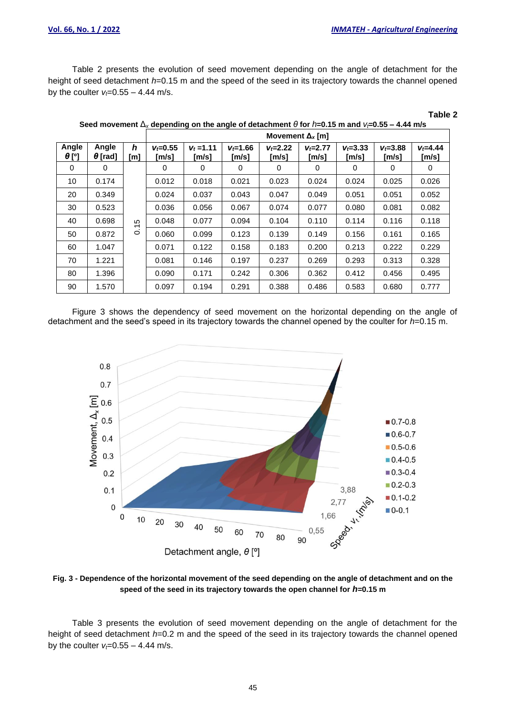**Table 2**

Table 2 presents the evolution of seed movement depending on the angle of detachment for the height of seed detachment *h*=0.15 m and the speed of the seed in its trajectory towards the channel opened by the coulter  $v_f = 0.55 - 4.44$  m/s.

| Seed movement $\Delta_{\rm x}$ depending on the angle of detachment $\theta$ for $h$ =0.15 m and $v$ =0.55 – 4.44 m/s |                         |                                |                                     |                       |                       |                       |                       |                       |                                     |                       |
|-----------------------------------------------------------------------------------------------------------------------|-------------------------|--------------------------------|-------------------------------------|-----------------------|-----------------------|-----------------------|-----------------------|-----------------------|-------------------------------------|-----------------------|
|                                                                                                                       |                         |                                | Movement $\Delta_{x}$ [m]           |                       |                       |                       |                       |                       |                                     |                       |
| Angle<br>$\theta$ [°]                                                                                                 | Angle<br>$\theta$ [rad] | h<br>[m]                       | $v_6 = 0.55$<br>$\lceil m/s \rceil$ | $V_t = 1.11$<br>[m/s] | $V_f = 1.66$<br>[m/s] | $V_f = 2.22$<br>[m/s] | $V_f = 2.77$<br>[m/s] | $V_f = 3.33$<br>[m/s] | $V_f = 3.88$<br>$\lceil m/s \rceil$ | $V_f = 4.44$<br>[m/s] |
| $\Omega$                                                                                                              | 0                       |                                | 0                                   | 0                     | 0                     | 0                     | 0                     | 0                     | 0                                   | 0                     |
| 10                                                                                                                    | 0.174                   |                                | 0.012                               | 0.018                 | 0.021                 | 0.023                 | 0.024                 | 0.024                 | 0.025                               | 0.026                 |
| 20                                                                                                                    | 0.349                   |                                | 0.024                               | 0.037                 | 0.043                 | 0.047                 | 0.049                 | 0.051                 | 0.051                               | 0.052                 |
| 30                                                                                                                    | 0.523                   |                                | 0.036                               | 0.056                 | 0.067                 | 0.074                 | 0.077                 | 0.080                 | 0.081                               | 0.082                 |
| 40                                                                                                                    | 0.698                   | မဂ<br>$\overline{\phantom{0}}$ | 0.048                               | 0.077                 | 0.094                 | 0.104                 | 0.110                 | 0.114                 | 0.116                               | 0.118                 |
| 50                                                                                                                    | 0.872                   | $\dot{\circ}$                  | 0.060                               | 0.099                 | 0.123                 | 0.139                 | 0.149                 | 0.156                 | 0.161                               | 0.165                 |
| 60                                                                                                                    | 1.047                   |                                | 0.071                               | 0.122                 | 0.158                 | 0.183                 | 0.200                 | 0.213                 | 0.222                               | 0.229                 |
| 70                                                                                                                    | 1.221                   |                                | 0.081                               | 0.146                 | 0.197                 | 0.237                 | 0.269                 | 0.293                 | 0.313                               | 0.328                 |
| 80                                                                                                                    | 1.396                   |                                | 0.090                               | 0.171                 | 0.242                 | 0.306                 | 0.362                 | 0.412                 | 0.456                               | 0.495                 |
| 90                                                                                                                    | 1.570                   |                                | 0.097                               | 0.194                 | 0.291                 | 0.388                 | 0.486                 | 0.583                 | 0.680                               | 0.777                 |

Figure 3 shows the dependency of seed movement on the horizontal depending on the angle of detachment and the seed's speed in its trajectory towards the channel opened by the coulter for *h*=0.15 m.



**Fig. 3 - Dependence of the horizontal movement of the seed depending on the angle of detachment and on the speed of the seed in its trajectory towards the open channel for** *h***=0.15 m**

Table 3 presents the evolution of seed movement depending on the angle of detachment for the height of seed detachment *h*=0.2 m and the speed of the seed in its trajectory towards the channel opened by the coulter  $v_f = 0.55 - 4.44$  m/s.

45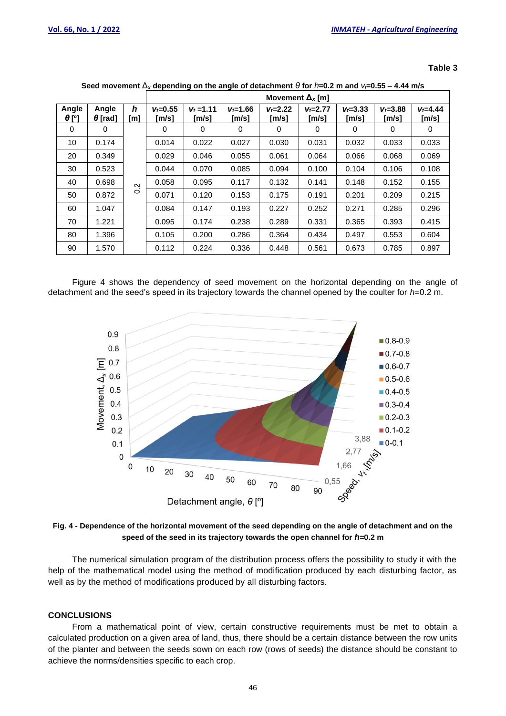| ablo | e |
|------|---|
|------|---|

|                       |                         |          | Movement $\Delta_{x}$ [m] |                       |                       |                       |                     |                                     |                       |                       |
|-----------------------|-------------------------|----------|---------------------------|-----------------------|-----------------------|-----------------------|---------------------|-------------------------------------|-----------------------|-----------------------|
| Angle<br>$\theta$ [°] | Angle<br>$\theta$ [rad] | h<br>[m] | $V_f = 0.55$<br>[m/s]     | $V_t = 1.11$<br>[m/s] | $V_f = 1.66$<br>[m/s] | $V_f = 2.22$<br>[m/s] | $V = 2.77$<br>[m/s] | $V_f = 3.33$<br>$\lceil m/s \rceil$ | $V_f = 3.88$<br>[m/s] | $V_f = 4.44$<br>[m/s] |
| 0                     | 0                       |          | 0                         | 0                     | 0                     | 0                     | 0                   | 0                                   | 0                     | 0                     |
| 10                    | 0.174                   |          | 0.014                     | 0.022                 | 0.027                 | 0.030                 | 0.031               | 0.032                               | 0.033                 | 0.033                 |
| 20                    | 0.349                   |          | 0.029                     | 0.046                 | 0.055                 | 0.061                 | 0.064               | 0.066                               | 0.068                 | 0.069                 |
| 30                    | 0.523                   |          | 0.044                     | 0.070                 | 0.085                 | 0.094                 | 0.100               | 0.104                               | 0.106                 | 0.108                 |
| 40                    | 0.698                   | Ņ        | 0.058                     | 0.095                 | 0.117                 | 0.132                 | 0.141               | 0.148                               | 0.152                 | 0.155                 |
| 50                    | 0.872                   | $\circ$  | 0.071                     | 0.120                 | 0.153                 | 0.175                 | 0.191               | 0.201                               | 0.209                 | 0.215                 |
| 60                    | 1.047                   |          | 0.084                     | 0.147                 | 0.193                 | 0.227                 | 0.252               | 0.271                               | 0.285                 | 0.296                 |
| 70                    | 1.221                   |          | 0.095                     | 0.174                 | 0.238                 | 0.289                 | 0.331               | 0.365                               | 0.393                 | 0.415                 |
| 80                    | 1.396                   |          | 0.105                     | 0.200                 | 0.286                 | 0.364                 | 0.434               | 0.497                               | 0.553                 | 0.604                 |
| 90                    | 1.570                   |          | 0.112                     | 0.224                 | 0.336                 | 0.448                 | 0.561               | 0.673                               | 0.785                 | 0.897                 |

| Seed movement $\Delta_{\rm x}$ depending on the angle of detachment $\theta$ for $h$ =0.2 m and $v$ =0.55 – 4.44 m/s |  |  |
|----------------------------------------------------------------------------------------------------------------------|--|--|
|                                                                                                                      |  |  |

Figure 4 shows the dependency of seed movement on the horizontal depending on the angle of detachment and the seed's speed in its trajectory towards the channel opened by the coulter for *h*=0.2 m.



**Fig. 4 - Dependence of the horizontal movement of the seed depending on the angle of detachment and on the speed of the seed in its trajectory towards the open channel for** *h***=0.2 m**

The numerical simulation program of the distribution process offers the possibility to study it with the help of the mathematical model using the method of modification produced by each disturbing factor, as well as by the method of modifications produced by all disturbing factors.

#### **CONCLUSIONS**

From a mathematical point of view, certain constructive requirements must be met to obtain a calculated production on a given area of land, thus, there should be a certain distance between the row units of the planter and between the seeds sown on each row (rows of seeds) the distance should be constant to achieve the norms/densities specific to each crop.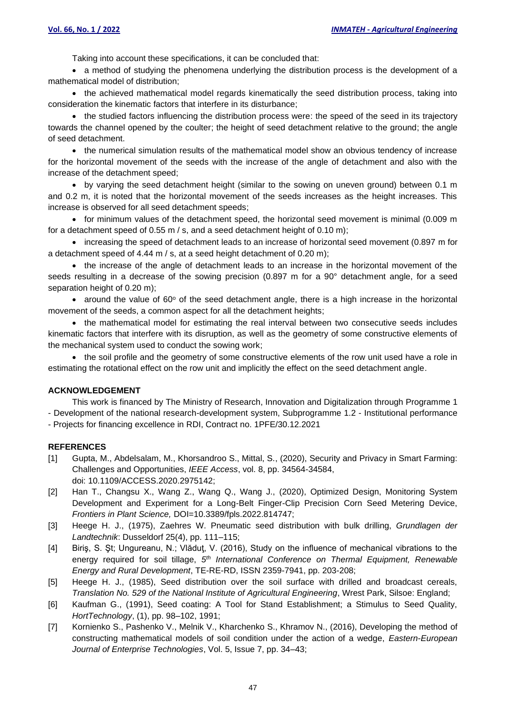Taking into account these specifications, it can be concluded that:

• a method of studying the phenomena underlying the distribution process is the development of a mathematical model of distribution;

• the achieved mathematical model regards kinematically the seed distribution process, taking into consideration the kinematic factors that interfere in its disturbance;

• the studied factors influencing the distribution process were: the speed of the seed in its trajectory towards the channel opened by the coulter; the height of seed detachment relative to the ground; the angle of seed detachment.

• the numerical simulation results of the mathematical model show an obvious tendency of increase for the horizontal movement of the seeds with the increase of the angle of detachment and also with the increase of the detachment speed;

• by varying the seed detachment height (similar to the sowing on uneven ground) between 0.1 m and 0.2 m, it is noted that the horizontal movement of the seeds increases as the height increases. This increase is observed for all seed detachment speeds;

• for minimum values of the detachment speed, the horizontal seed movement is minimal (0.009 m for a detachment speed of 0.55 m / s, and a seed detachment height of 0.10 m);

• increasing the speed of detachment leads to an increase of horizontal seed movement (0.897 m for a detachment speed of 4.44 m / s, at a seed height detachment of 0.20 m);

• the increase of the angle of detachment leads to an increase in the horizontal movement of the seeds resulting in a decrease of the sowing precision (0.897 m for a 90° detachment angle, for a seed separation height of 0.20 m);

• around the value of  $60^{\circ}$  of the seed detachment angle, there is a high increase in the horizontal movement of the seeds, a common aspect for all the detachment heights;

• the mathematical model for estimating the real interval between two consecutive seeds includes kinematic factors that interfere with its disruption, as well as the geometry of some constructive elements of the mechanical system used to conduct the sowing work;

• the soil profile and the geometry of some constructive elements of the row unit used have a role in estimating the rotational effect on the row unit and implicitly the effect on the seed detachment angle.

### **ACKNOWLEDGEMENT**

This work is financed by The Ministry of Research, Innovation and Digitalization through Programme 1 - Development of the national research-development system, Subprogramme 1.2 - Institutional performance

- Projects for financing excellence in RDI, Contract no. 1PFE/30.12.2021

### **REFERENCES**

- [1] Gupta, M., Abdelsalam, M., Khorsandroo S., Mittal, S., (2020), Security and Privacy in Smart Farming: Challenges and Opportunities, *IEEE Access*, vol. 8, pp. 34564-34584, doi: 10.1109/ACCESS.2020.2975142;
- [2] Han T., Changsu X., Wang Z., Wang Q., Wang J., (2020), Optimized Design, Monitoring System Development and Experiment for a Long-Belt Finger-Clip Precision Corn Seed Metering Device, *Frontiers in Plant Science,* DOI=10.3389/fpls.2022.814747;
- [3] Heege H. J., (1975), Zaehres W. Pneumatic seed distribution with bulk drilling, *Grundlagen der Landtechnik*: Dusseldorf 25(4), pp. 111–115;
- [4] Biriş, S. Şt; Ungureanu, N.; Vlăduţ, V. (2016), Study on the influence of mechanical vibrations to the energy required for soil tillage, *5 th International Conference on Thermal Equipment, Renewable Energy and Rural Development*, TE-RE-RD, ISSN 2359-7941, pp. 203-208;
- [5] Heege H. J., (1985), Seed distribution over the soil surface with drilled and broadcast cereals, *Translation No. 529 of the National Institute of Agricultural Engineering*, Wrest Park, Silsoe: England;
- [6] Kaufman G., (1991), Seed coating: A Tool for Stand Establishment; a Stimulus to Seed Quality, *HortTechnology*, (1), pp. 98–102, 1991;
- [7] Kornienko S., Pashenko V., Melnik V., Kharchenko S., Khramov N., (2016), Developing the method of constructing mathematical models of soil condition under the action of a wedge, *Eastern-European Journal of Enterprise Technologies*, Vol. 5, Issue 7, pp. 34–43;